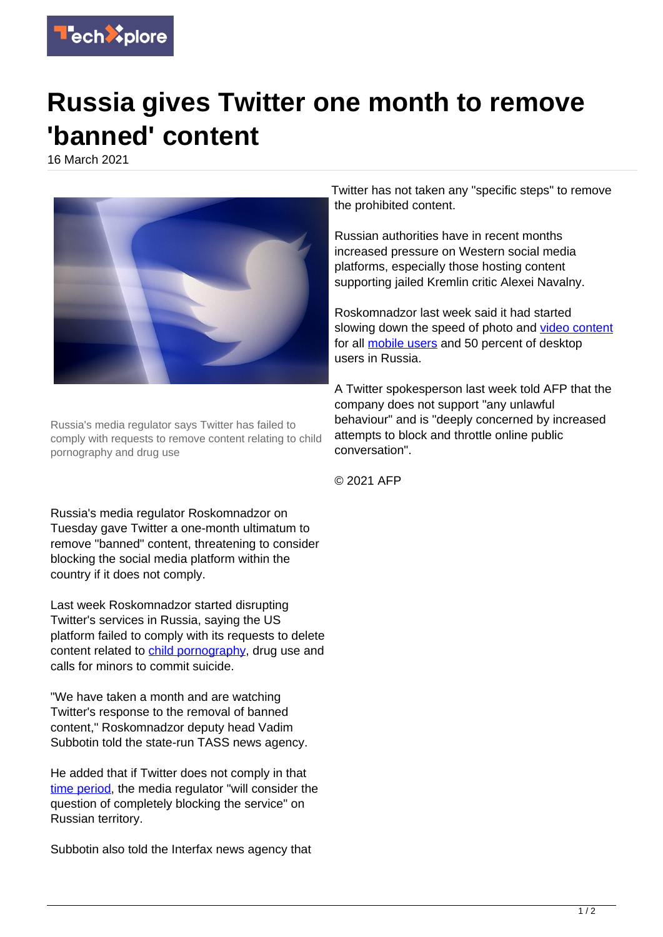

## **Russia gives Twitter one month to remove 'banned' content**

16 March 2021



Russia's media regulator says Twitter has failed to comply with requests to remove content relating to child pornography and drug use

Russia's media regulator Roskomnadzor on Tuesday gave Twitter a one-month ultimatum to remove "banned" content, threatening to consider blocking the social media platform within the country if it does not comply.

Last week Roskomnadzor started disrupting Twitter's services in Russia, saying the US platform failed to comply with its requests to delete content related to [child pornography,](https://techxplore.com/tags/child+pornography/) drug use and calls for minors to commit suicide.

"We have taken a month and are watching Twitter's response to the removal of banned content," Roskomnadzor deputy head Vadim Subbotin told the state-run TASS news agency.

He added that if Twitter does not comply in that [time period,](https://techxplore.com/tags/time+period/) the media regulator "will consider the question of completely blocking the service" on Russian territory.

Subbotin also told the Interfax news agency that

Twitter has not taken any "specific steps" to remove the prohibited content.

Russian authorities have in recent months increased pressure on Western social media platforms, especially those hosting content supporting jailed Kremlin critic Alexei Navalny.

Roskomnadzor last week said it had started slowing down the speed of photo and [video content](https://techxplore.com/tags/video+content/) for all [mobile users](https://techxplore.com/tags/mobile+users/) and 50 percent of desktop users in Russia.

A Twitter spokesperson last week told AFP that the company does not support "any unlawful behaviour" and is "deeply concerned by increased attempts to block and throttle online public conversation".

© 2021 AFP